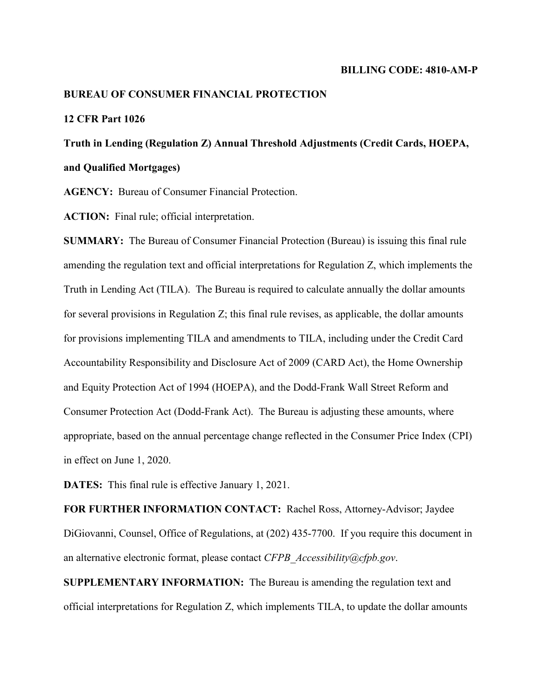#### **BUREAU OF CONSUMER FINANCIAL PROTECTION**

## **12 CFR Part 1026**

**Truth in Lending (Regulation Z) Annual Threshold Adjustments (Credit Cards, HOEPA, and Qualified Mortgages)**

**AGENCY:** Bureau of Consumer Financial Protection.

**ACTION:** Final rule; official interpretation.

**SUMMARY:** The Bureau of Consumer Financial Protection (Bureau) is issuing this final rule amending the regulation text and official interpretations for Regulation Z, which implements the Truth in Lending Act (TILA). The Bureau is required to calculate annually the dollar amounts for several provisions in Regulation Z; this final rule revises, as applicable, the dollar amounts for provisions implementing TILA and amendments to TILA, including under the Credit Card Accountability Responsibility and Disclosure Act of 2009 (CARD Act), the Home Ownership and Equity Protection Act of 1994 (HOEPA), and the Dodd-Frank Wall Street Reform and Consumer Protection Act (Dodd-Frank Act). The Bureau is adjusting these amounts, where appropriate, based on the annual percentage change reflected in the Consumer Price Index (CPI) in effect on June 1, 2020.

**DATES:** This final rule is effective January 1, 2021.

**FOR FURTHER INFORMATION CONTACT:** Rachel Ross, Attorney-Advisor; Jaydee DiGiovanni, Counsel, Office of Regulations, at (202) 435-7700. If you require this document in an alternative electronic format, please contact *CFPB\_Accessibility@cfpb.gov*.

**SUPPLEMENTARY INFORMATION:** The Bureau is amending the regulation text and official interpretations for Regulation Z, which implements TILA, to update the dollar amounts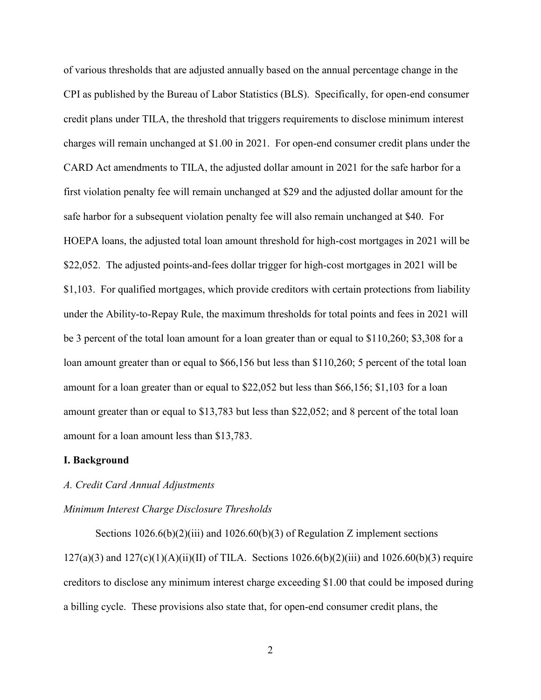of various thresholds that are adjusted annually based on the annual percentage change in the CPI as published by the Bureau of Labor Statistics (BLS). Specifically, for open-end consumer credit plans under TILA, the threshold that triggers requirements to disclose minimum interest charges will remain unchanged at \$1.00 in 2021. For open-end consumer credit plans under the CARD Act amendments to TILA, the adjusted dollar amount in 2021 for the safe harbor for a first violation penalty fee will remain unchanged at \$29 and the adjusted dollar amount for the safe harbor for a subsequent violation penalty fee will also remain unchanged at \$40. For HOEPA loans, the adjusted total loan amount threshold for high-cost mortgages in 2021 will be \$22,052. The adjusted points-and-fees dollar trigger for high-cost mortgages in 2021 will be \$1,103. For qualified mortgages, which provide creditors with certain protections from liability under the Ability-to-Repay Rule, the maximum thresholds for total points and fees in 2021 will be 3 percent of the total loan amount for a loan greater than or equal to \$110,260; \$3,308 for a loan amount greater than or equal to \$66,156 but less than \$110,260; 5 percent of the total loan amount for a loan greater than or equal to \$22,052 but less than \$66,156; \$1,103 for a loan amount greater than or equal to \$13,783 but less than \$22,052; and 8 percent of the total loan amount for a loan amount less than \$13,783.

## **I. Background**

#### *A. Credit Card Annual Adjustments*

#### *Minimum Interest Charge Disclosure Thresholds*

Sections  $1026.6(b)(2)(iii)$  and  $1026.60(b)(3)$  of Regulation Z implement sections  $127(a)(3)$  and  $127(c)(1)(A)(ii)(II)$  of TILA. Sections  $1026.6(b)(2)(iii)$  and  $1026.60(b)(3)$  require creditors to disclose any minimum interest charge exceeding \$1.00 that could be imposed during a billing cycle. These provisions also state that, for open-end consumer credit plans, the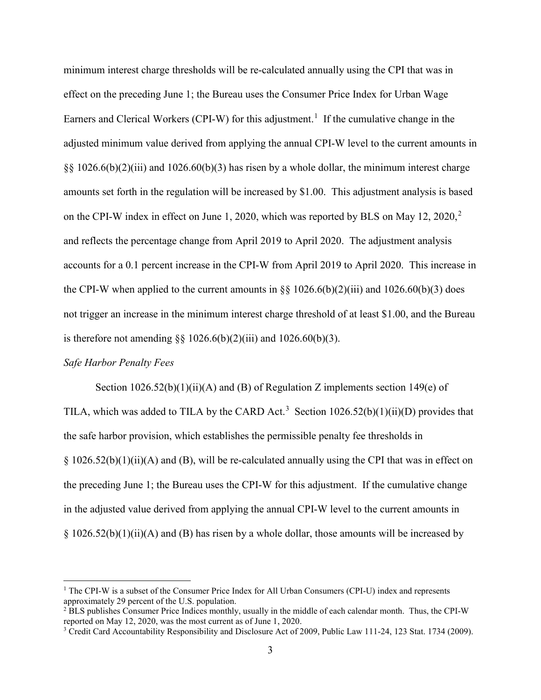minimum interest charge thresholds will be re-calculated annually using the CPI that was in effect on the preceding June 1; the Bureau uses the Consumer Price Index for Urban Wage Earners and Clerical Workers (CPI-W) for this adjustment.<sup>[1](#page-2-0)</sup> If the cumulative change in the adjusted minimum value derived from applying the annual CPI-W level to the current amounts in  $\S$ [3] 1026.6(b)(2)(iii) and 1026.60(b)(3) has risen by a whole dollar, the minimum interest charge amounts set forth in the regulation will be increased by \$1.00. This adjustment analysis is based on the CPI-W index in effect on June 1, [2](#page-2-1)020, which was reported by BLS on May 12, 2020,<sup>2</sup> and reflects the percentage change from April 2019 to April 2020. The adjustment analysis accounts for a 0.1 percent increase in the CPI-W from April 2019 to April 2020. This increase in the CPI-W when applied to the current amounts in  $\S$ § 1026.6(b)(2)(iii) and 1026.60(b)(3) does not trigger an increase in the minimum interest charge threshold of at least \$1.00, and the Bureau is therefore not amending  $\S$  1026.6(b)(2)(iii) and 1026.60(b)(3).

## *Safe Harbor Penalty Fees*

Section  $1026.52(b)(1)(ii)(A)$  and (B) of Regulation Z implements section  $149(e)$  of TILA, which was added to TILA by the CARD Act.<sup>[3](#page-2-2)</sup> Section  $1026.52(b)(1)(ii)(D)$  provides that the safe harbor provision, which establishes the permissible penalty fee thresholds in  $\S 1026.52(b)(1)(ii)(A)$  and (B), will be re-calculated annually using the CPI that was in effect on the preceding June 1; the Bureau uses the CPI-W for this adjustment. If the cumulative change in the adjusted value derived from applying the annual CPI-W level to the current amounts in  $\S 1026.52(b)(1)(ii)(A)$  and (B) has risen by a whole dollar, those amounts will be increased by

<span id="page-2-0"></span> <sup>1</sup> The CPI-W is a subset of the Consumer Price Index for All Urban Consumers (CPI-U) index and represents

<span id="page-2-1"></span>approximately 29 percent of the U.S. population.<br><sup>2</sup> BLS publishes Consumer Price Indices monthly, usually in the middle of each calendar month. Thus, the CPI-W reported on May 12, 2020, was the most current as of June 1,

<span id="page-2-2"></span><sup>&</sup>lt;sup>3</sup> Credit Card Accountability Responsibility and Disclosure Act of 2009, Public Law 111-24, 123 Stat. 1734 (2009).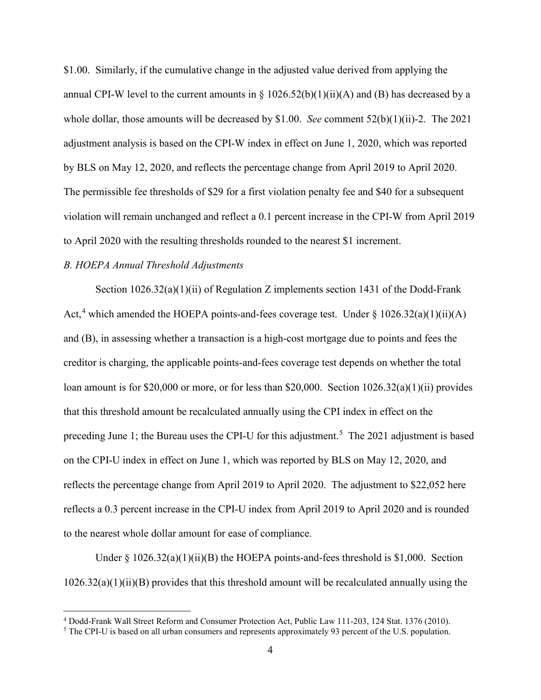\$1.00. Similarly, if the cumulative change in the adjusted value derived from applying the annual CPI-W level to the current amounts in § 1026.52(b)(1)(ii)(A) and (B) has decreased by a whole dollar, those amounts will be decreased by \$1.00. *See* comment 52(b)(1)(ii)-2. The 2021 adjustment analysis is based on the CPI-W index in effect on June 1, 2020, which was reported by BLS on May 12, 2020, and reflects the percentage change from April 2019 to April 2020. The permissible fee thresholds of \$29 for a first violation penalty fee and \$40 for a subsequent violation will remain unchanged and reflect a 0.1 percent increase in the CPI-W from April 2019 to April 2020 with the resulting thresholds rounded to the nearest \$1 increment.

# *B. HOEPA Annual Threshold Adjustments*

Section  $1026.32(a)(1)(ii)$  of Regulation Z implements section 1431 of the Dodd-Frank Act,<sup>[4](#page-3-0)</sup> which amended the HOEPA points-and-fees coverage test. Under  $\S 1026.32(a)(1)(ii)(A)$ and (B), in assessing whether a transaction is a high-cost mortgage due to points and fees the creditor is charging, the applicable points-and-fees coverage test depends on whether the total loan amount is for \$20,000 or more, or for less than \$20,000. Section 1026.32(a)(1)(ii) provides that this threshold amount be recalculated annually using the CPI index in effect on the preceding June 1; the Bureau uses the CPI-U for this adjustment.<sup>[5](#page-3-1)</sup> The 2021 adjustment is based on the CPI-U index in effect on June 1, which was reported by BLS on May 12, 2020, and reflects the percentage change from April 2019 to April 2020. The adjustment to \$22,052 here reflects a 0.3 percent increase in the CPI-U index from April 2019 to April 2020 and is rounded to the nearest whole dollar amount for ease of compliance.

Under  $\S 1026.32(a)(1)(ii)(B)$  the HOEPA points-and-fees threshold is \$1,000. Section  $1026.32(a)(1)(ii)(B)$  provides that this threshold amount will be recalculated annually using the

<span id="page-3-0"></span> <sup>4</sup> Dodd-Frank Wall Street Reform and Consumer Protection Act, Public Law 111-203, 124 Stat. 1376 (2010).

<span id="page-3-1"></span><sup>5</sup> The CPI-U is based on all urban consumers and represents approximately 93 percent of the U.S. population.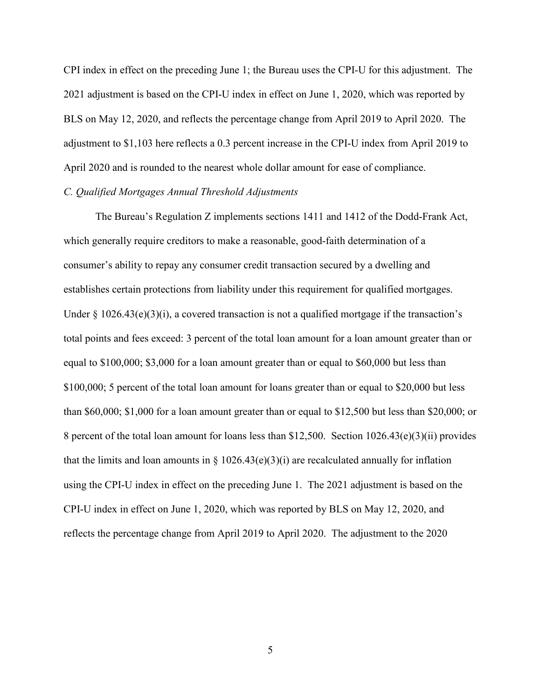CPI index in effect on the preceding June 1; the Bureau uses the CPI-U for this adjustment. The 2021 adjustment is based on the CPI-U index in effect on June 1, 2020, which was reported by BLS on May 12, 2020, and reflects the percentage change from April 2019 to April 2020. The adjustment to \$1,103 here reflects a 0.3 percent increase in the CPI-U index from April 2019 to April 2020 and is rounded to the nearest whole dollar amount for ease of compliance.

# *C. Qualified Mortgages Annual Threshold Adjustments*

The Bureau's Regulation Z implements sections 1411 and 1412 of the Dodd-Frank Act, which generally require creditors to make a reasonable, good-faith determination of a consumer's ability to repay any consumer credit transaction secured by a dwelling and establishes certain protections from liability under this requirement for qualified mortgages. Under  $\S$  1026.43(e)(3)(i), a covered transaction is not a qualified mortgage if the transaction's total points and fees exceed: 3 percent of the total loan amount for a loan amount greater than or equal to \$100,000; \$3,000 for a loan amount greater than or equal to \$60,000 but less than \$100,000; 5 percent of the total loan amount for loans greater than or equal to \$20,000 but less than \$60,000; \$1,000 for a loan amount greater than or equal to \$12,500 but less than \$20,000; or 8 percent of the total loan amount for loans less than \$12,500. Section 1026.43(e)(3)(ii) provides that the limits and loan amounts in  $\S 1026.43(e)(3)(i)$  are recalculated annually for inflation using the CPI-U index in effect on the preceding June 1. The 2021 adjustment is based on the CPI-U index in effect on June 1, 2020, which was reported by BLS on May 12, 2020, and reflects the percentage change from April 2019 to April 2020. The adjustment to the 2020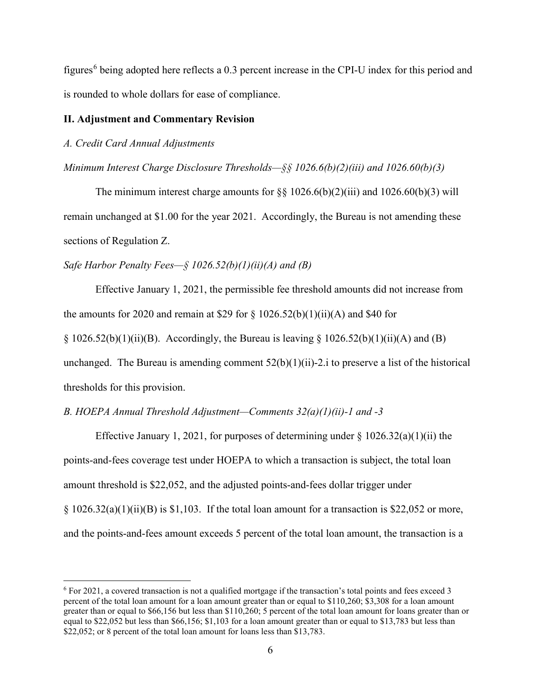figures<sup>[6](#page-5-0)</sup> being adopted here reflects a  $0.3$  percent increase in the CPI-U index for this period and is rounded to whole dollars for ease of compliance.

#### **II. Adjustment and Commentary Revision**

## *A. Credit Card Annual Adjustments*

## *Minimum Interest Charge Disclosure Thresholds—§§ 1026.6(b)(2)(iii) and 1026.60(b)(3)*

The minimum interest charge amounts for  $\S\S 1026.6(b)(2)(iii)$  and  $1026.60(b)(3)$  will remain unchanged at \$1.00 for the year 2021. Accordingly, the Bureau is not amending these sections of Regulation Z.

# *Safe Harbor Penalty Fees—§ 1026.52(b)(1)(ii)(A) and (B)*

Effective January 1, 2021, the permissible fee threshold amounts did not increase from the amounts for 2020 and remain at \$29 for  $\S 1026.52(b)(1)(ii)(A)$  and \$40 for

 $\S 1026.52(b)(1)(ii)(B)$ . Accordingly, the Bureau is leaving  $\S 1026.52(b)(1)(ii)(A)$  and (B)

unchanged. The Bureau is amending comment  $52(b)(1)(ii)$ -2.i to preserve a list of the historical thresholds for this provision.

## *B. HOEPA Annual Threshold Adjustment—Comments 32(a)(1)(ii)-1 and -3*

Effective January 1, 2021, for purposes of determining under  $\S 1026.32(a)(1)(ii)$  the points-and-fees coverage test under HOEPA to which a transaction is subject, the total loan amount threshold is \$22,052, and the adjusted points-and-fees dollar trigger under  $\S 1026.32(a)(1)(ii)(B)$  is  $\S 1,103$ . If the total loan amount for a transaction is  $\S 22,052$  or more, and the points-and-fees amount exceeds 5 percent of the total loan amount, the transaction is a

<span id="page-5-0"></span> <sup>6</sup> For 2021, a covered transaction is not a qualified mortgage if the transaction's total points and fees exceed 3 percent of the total loan amount for a loan amount greater than or equal to \$110,260; \$3,308 for a loan amount greater than or equal to \$66,156 but less than \$110,260; 5 percent of the total loan amount for loans greater than or equal to \$22,052 but less than \$66,156; \$1,103 for a loan amount greater than or equal to \$13,783 but less than \$22,052; or 8 percent of the total loan amount for loans less than \$13,783.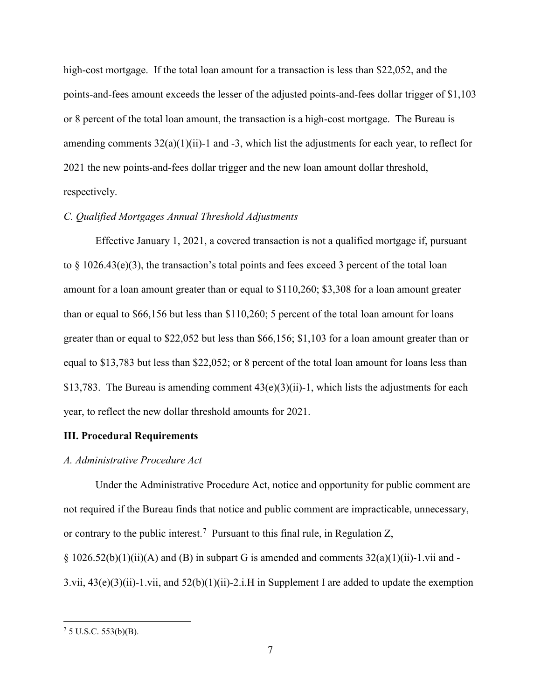high-cost mortgage. If the total loan amount for a transaction is less than \$22,052, and the points-and-fees amount exceeds the lesser of the adjusted points-and-fees dollar trigger of \$1,103 or 8 percent of the total loan amount, the transaction is a high-cost mortgage. The Bureau is amending comments  $32(a)(1)(ii)$ -1 and -3, which list the adjustments for each year, to reflect for 2021 the new points-and-fees dollar trigger and the new loan amount dollar threshold, respectively.

## *C. Qualified Mortgages Annual Threshold Adjustments*

Effective January 1, 2021, a covered transaction is not a qualified mortgage if, pursuant to  $\S$  1026.43(e)(3), the transaction's total points and fees exceed 3 percent of the total loan amount for a loan amount greater than or equal to \$110,260; \$3,308 for a loan amount greater than or equal to \$66,156 but less than \$110,260; 5 percent of the total loan amount for loans greater than or equal to \$22,052 but less than \$66,156; \$1,103 for a loan amount greater than or equal to \$13,783 but less than \$22,052; or 8 percent of the total loan amount for loans less than \$13,783. The Bureau is amending comment  $43(e)(3)(ii)$ -1, which lists the adjustments for each year, to reflect the new dollar threshold amounts for 2021.

#### **III. Procedural Requirements**

## *A. Administrative Procedure Act*

Under the Administrative Procedure Act, notice and opportunity for public comment are not required if the Bureau finds that notice and public comment are impracticable, unnecessary, or contrary to the public interest.<sup>[7](#page-6-0)</sup> Pursuant to this final rule, in Regulation Z, § 1026.52(b)(1)(ii)(A) and (B) in subpart G is amended and comments  $32(a)(1)(ii)$ -1.vii and -3.vii,  $43(e)(3)(ii)$ -1.vii, and  $52(b)(1)(ii)$ -2.i.H in Supplement I are added to update the exemption

<span id="page-6-0"></span> $75$  U.S.C.  $553(b)(B)$ .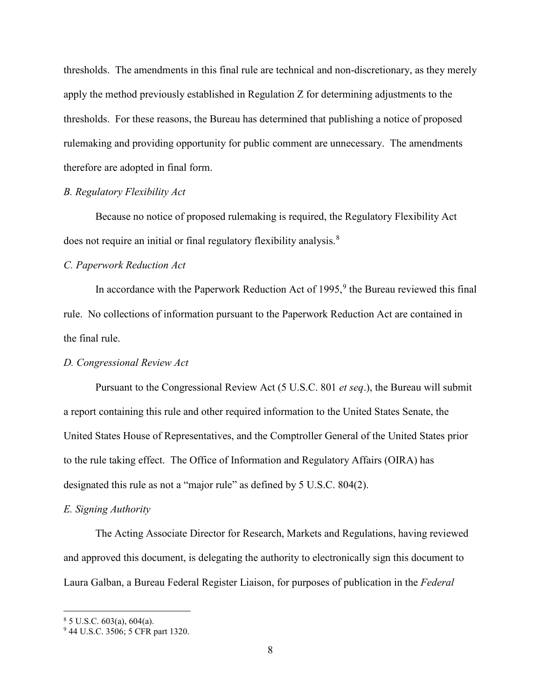thresholds. The amendments in this final rule are technical and non-discretionary, as they merely apply the method previously established in Regulation Z for determining adjustments to the thresholds. For these reasons, the Bureau has determined that publishing a notice of proposed rulemaking and providing opportunity for public comment are unnecessary. The amendments therefore are adopted in final form.

## *B. Regulatory Flexibility Act*

Because no notice of proposed rulemaking is required, the Regulatory Flexibility Act does not require an initial or final regulatory flexibility analysis.<sup>[8](#page-7-0)</sup>

# *C. Paperwork Reduction Act*

In accordance with the Paperwork Reduction Act of 1[9](#page-7-1)95,<sup>9</sup> the Bureau reviewed this final rule. No collections of information pursuant to the Paperwork Reduction Act are contained in the final rule.

# *D. Congressional Review Act*

Pursuant to the Congressional Review Act (5 U.S.C. 801 *et seq*.), the Bureau will submit a report containing this rule and other required information to the United States Senate, the United States House of Representatives, and the Comptroller General of the United States prior to the rule taking effect. The Office of Information and Regulatory Affairs (OIRA) has designated this rule as not a "major rule" as defined by 5 U.S.C. 804(2).

#### *E. Signing Authority*

The Acting Associate Director for Research, Markets and Regulations, having reviewed and approved this document, is delegating the authority to electronically sign this document to Laura Galban, a Bureau Federal Register Liaison, for purposes of publication in the *Federal* 

<span id="page-7-0"></span> $85$  U.S.C. 603(a), 604(a).

<span id="page-7-1"></span><sup>&</sup>lt;sup>9</sup> 44 U.S.C. 3506; 5 CFR part 1320.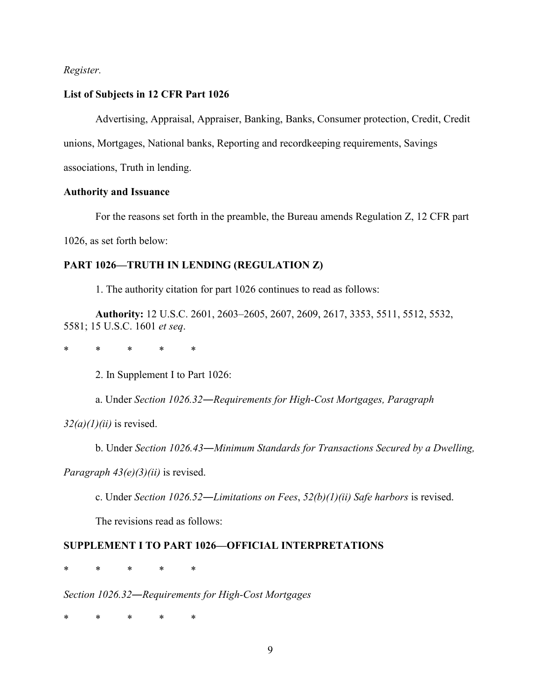# *Register.*

#### **List of Subjects in 12 CFR Part 1026**

Advertising, Appraisal, Appraiser, Banking, Banks, Consumer protection, Credit, Credit

unions, Mortgages, National banks, Reporting and recordkeeping requirements, Savings

associations, Truth in lending.

# **Authority and Issuance**

For the reasons set forth in the preamble, the Bureau amends Regulation Z, 12 CFR part 1026, as set forth below:

# **PART 1026—TRUTH IN LENDING (REGULATION Z)**

1. The authority citation for part 1026 continues to read as follows:

**Authority:** 12 U.S.C. 2601, 2603–2605, 2607, 2609, 2617, 3353, 5511, 5512, 5532, 5581; 15 U.S.C. 1601 *et seq*.

\* \* \* \* \*

2. In Supplement I to Part 1026:

a. Under *Section 1026.32―Requirements for High-Cost Mortgages, Paragraph* 

*32(a)(1)(ii)* is revised.

b. Under *Section 1026.43―Minimum Standards for Transactions Secured by a Dwelling,* 

*Paragraph 43(e)(3)(ii)* is revised.

c. Under *Section 1026.52―Limitations on Fees*, *52(b)(1)(ii) Safe harbors* is revised.

The revisions read as follows:

## **SUPPLEMENT I TO PART 1026—OFFICIAL INTERPRETATIONS**

\* \* \* \* \*

*Section 1026.32―Requirements for High-Cost Mortgages*

\* \* \* \* \*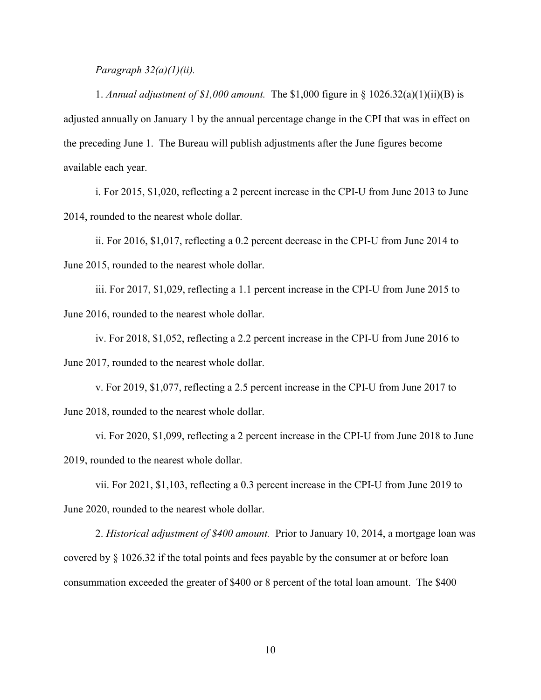*Paragraph 32(a)(1)(ii).*

1. *Annual adjustment of \$1,000 amount.* The \$1,000 figure in § 1026.32(a)(1)(ii)(B) is adjusted annually on January 1 by the annual percentage change in the CPI that was in effect on the preceding June 1. The Bureau will publish adjustments after the June figures become available each year.

i. For 2015, \$1,020, reflecting a 2 percent increase in the CPI-U from June 2013 to June 2014, rounded to the nearest whole dollar.

ii. For 2016, \$1,017, reflecting a 0.2 percent decrease in the CPI-U from June 2014 to June 2015, rounded to the nearest whole dollar.

iii. For 2017, \$1,029, reflecting a 1.1 percent increase in the CPI-U from June 2015 to June 2016, rounded to the nearest whole dollar.

iv. For 2018, \$1,052, reflecting a 2.2 percent increase in the CPI-U from June 2016 to June 2017, rounded to the nearest whole dollar.

v. For 2019, \$1,077, reflecting a 2.5 percent increase in the CPI-U from June 2017 to June 2018, rounded to the nearest whole dollar.

vi. For 2020, \$1,099, reflecting a 2 percent increase in the CPI-U from June 2018 to June 2019, rounded to the nearest whole dollar.

vii. For 2021, \$1,103, reflecting a 0.3 percent increase in the CPI-U from June 2019 to June 2020, rounded to the nearest whole dollar.

2. *Historical adjustment of \$400 amount.* Prior to January 10, 2014, a mortgage loan was covered by § 1026.32 if the total points and fees payable by the consumer at or before loan consummation exceeded the greater of \$400 or 8 percent of the total loan amount. The \$400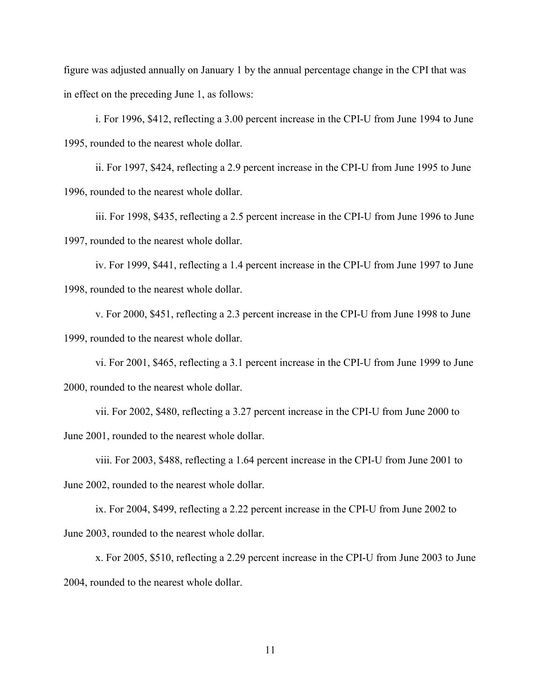figure was adjusted annually on January 1 by the annual percentage change in the CPI that was in effect on the preceding June 1, as follows:

i. For 1996, \$412, reflecting a 3.00 percent increase in the CPI-U from June 1994 to June 1995, rounded to the nearest whole dollar.

ii. For 1997, \$424, reflecting a 2.9 percent increase in the CPI-U from June 1995 to June 1996, rounded to the nearest whole dollar.

iii. For 1998, \$435, reflecting a 2.5 percent increase in the CPI-U from June 1996 to June 1997, rounded to the nearest whole dollar.

iv. For 1999, \$441, reflecting a 1.4 percent increase in the CPI-U from June 1997 to June 1998, rounded to the nearest whole dollar.

v. For 2000, \$451, reflecting a 2.3 percent increase in the CPI-U from June 1998 to June 1999, rounded to the nearest whole dollar.

vi. For 2001, \$465, reflecting a 3.1 percent increase in the CPI-U from June 1999 to June 2000, rounded to the nearest whole dollar.

vii. For 2002, \$480, reflecting a 3.27 percent increase in the CPI-U from June 2000 to June 2001, rounded to the nearest whole dollar.

viii. For 2003, \$488, reflecting a 1.64 percent increase in the CPI-U from June 2001 to June 2002, rounded to the nearest whole dollar.

ix. For 2004, \$499, reflecting a 2.22 percent increase in the CPI-U from June 2002 to June 2003, rounded to the nearest whole dollar.

x. For 2005, \$510, reflecting a 2.29 percent increase in the CPI-U from June 2003 to June 2004, rounded to the nearest whole dollar.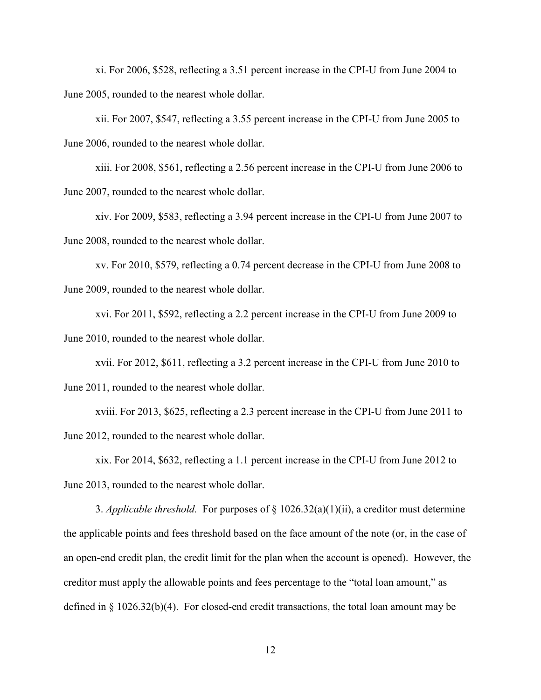xi. For 2006, \$528, reflecting a 3.51 percent increase in the CPI-U from June 2004 to June 2005, rounded to the nearest whole dollar.

xii. For 2007, \$547, reflecting a 3.55 percent increase in the CPI-U from June 2005 to June 2006, rounded to the nearest whole dollar.

xiii. For 2008, \$561, reflecting a 2.56 percent increase in the CPI-U from June 2006 to June 2007, rounded to the nearest whole dollar.

xiv. For 2009, \$583, reflecting a 3.94 percent increase in the CPI-U from June 2007 to June 2008, rounded to the nearest whole dollar.

xv. For 2010, \$579, reflecting a 0.74 percent decrease in the CPI-U from June 2008 to June 2009, rounded to the nearest whole dollar.

xvi. For 2011, \$592, reflecting a 2.2 percent increase in the CPI-U from June 2009 to June 2010, rounded to the nearest whole dollar.

xvii. For 2012, \$611, reflecting a 3.2 percent increase in the CPI-U from June 2010 to June 2011, rounded to the nearest whole dollar.

xviii. For 2013, \$625, reflecting a 2.3 percent increase in the CPI-U from June 2011 to June 2012, rounded to the nearest whole dollar.

xix. For 2014, \$632, reflecting a 1.1 percent increase in the CPI-U from June 2012 to June 2013, rounded to the nearest whole dollar.

3. *Applicable threshold.* For purposes of  $\S 1026.32(a)(1)(ii)$ , a creditor must determine the applicable points and fees threshold based on the face amount of the note (or, in the case of an open-end credit plan, the credit limit for the plan when the account is opened). However, the creditor must apply the allowable points and fees percentage to the "total loan amount," as defined in § 1026.32(b)(4). For closed-end credit transactions, the total loan amount may be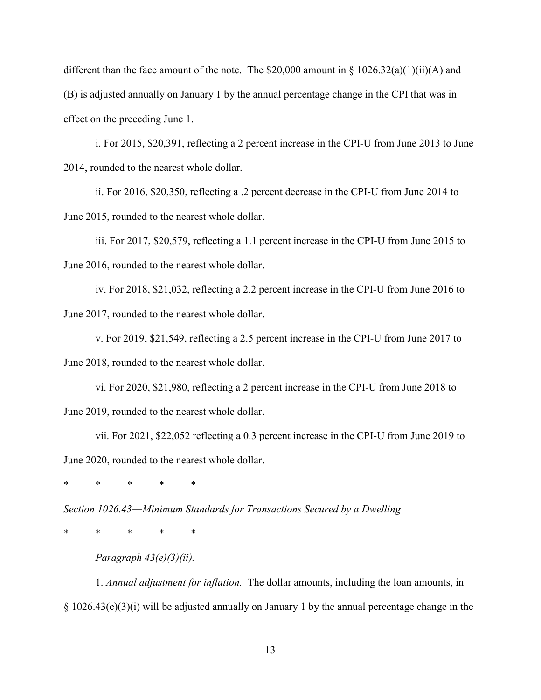different than the face amount of the note. The \$20,000 amount in  $\S 1026.32(a)(1)(ii)(A)$  and (B) is adjusted annually on January 1 by the annual percentage change in the CPI that was in effect on the preceding June 1.

i. For 2015, \$20,391, reflecting a 2 percent increase in the CPI-U from June 2013 to June 2014, rounded to the nearest whole dollar.

ii. For 2016, \$20,350, reflecting a .2 percent decrease in the CPI-U from June 2014 to June 2015, rounded to the nearest whole dollar.

iii. For 2017, \$20,579, reflecting a 1.1 percent increase in the CPI-U from June 2015 to June 2016, rounded to the nearest whole dollar.

iv. For 2018, \$21,032, reflecting a 2.2 percent increase in the CPI-U from June 2016 to June 2017, rounded to the nearest whole dollar.

v. For 2019, \$21,549, reflecting a 2.5 percent increase in the CPI-U from June 2017 to June 2018, rounded to the nearest whole dollar.

vi. For 2020, \$21,980, reflecting a 2 percent increase in the CPI-U from June 2018 to June 2019, rounded to the nearest whole dollar.

vii. For 2021, \$22,052 reflecting a 0.3 percent increase in the CPI-U from June 2019 to June 2020, rounded to the nearest whole dollar.

\* \* \* \* \*

*Section 1026.43―Minimum Standards for Transactions Secured by a Dwelling*

\* \* \* \* \*

*Paragraph 43(e)(3)(ii).*

1. *Annual adjustment for inflation.* The dollar amounts, including the loan amounts, in § 1026.43(e)(3)(i) will be adjusted annually on January 1 by the annual percentage change in the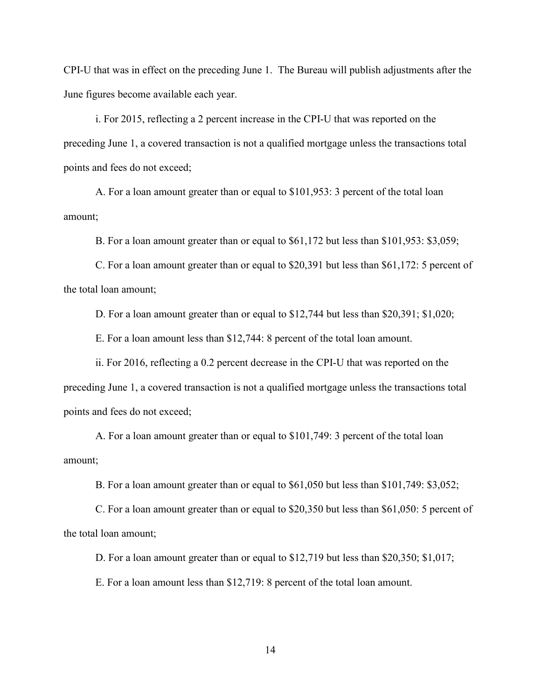CPI-U that was in effect on the preceding June 1. The Bureau will publish adjustments after the June figures become available each year.

i. For 2015, reflecting a 2 percent increase in the CPI-U that was reported on the preceding June 1, a covered transaction is not a qualified mortgage unless the transactions total points and fees do not exceed;

A. For a loan amount greater than or equal to \$101,953: 3 percent of the total loan amount;

B. For a loan amount greater than or equal to \$61,172 but less than \$101,953: \$3,059;

C. For a loan amount greater than or equal to \$20,391 but less than \$61,172: 5 percent of the total loan amount;

D. For a loan amount greater than or equal to \$12,744 but less than \$20,391; \$1,020;

E. For a loan amount less than \$12,744: 8 percent of the total loan amount.

ii. For 2016, reflecting a 0.2 percent decrease in the CPI-U that was reported on the preceding June 1, a covered transaction is not a qualified mortgage unless the transactions total points and fees do not exceed;

A. For a loan amount greater than or equal to \$101,749: 3 percent of the total loan amount;

B. For a loan amount greater than or equal to \$61,050 but less than \$101,749: \$3,052;

C. For a loan amount greater than or equal to \$20,350 but less than \$61,050: 5 percent of the total loan amount;

D. For a loan amount greater than or equal to \$12,719 but less than \$20,350; \$1,017;

E. For a loan amount less than \$12,719: 8 percent of the total loan amount.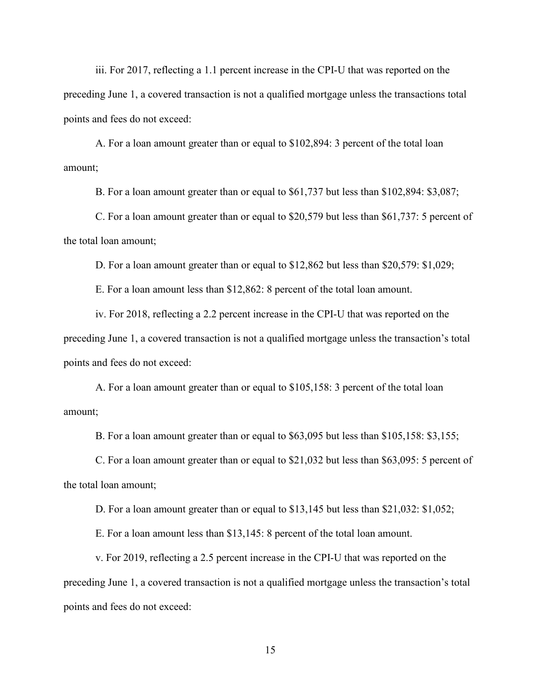iii. For 2017, reflecting a 1.1 percent increase in the CPI-U that was reported on the preceding June 1, a covered transaction is not a qualified mortgage unless the transactions total points and fees do not exceed:

A. For a loan amount greater than or equal to \$102,894: 3 percent of the total loan amount;

B. For a loan amount greater than or equal to \$61,737 but less than \$102,894: \$3,087;

C. For a loan amount greater than or equal to \$20,579 but less than \$61,737: 5 percent of the total loan amount;

D. For a loan amount greater than or equal to \$12,862 but less than \$20,579: \$1,029;

E. For a loan amount less than \$12,862: 8 percent of the total loan amount.

iv. For 2018, reflecting a 2.2 percent increase in the CPI-U that was reported on the preceding June 1, a covered transaction is not a qualified mortgage unless the transaction's total points and fees do not exceed:

A. For a loan amount greater than or equal to \$105,158: 3 percent of the total loan amount;

B. For a loan amount greater than or equal to \$63,095 but less than \$105,158: \$3,155;

C. For a loan amount greater than or equal to \$21,032 but less than \$63,095: 5 percent of the total loan amount;

D. For a loan amount greater than or equal to \$13,145 but less than \$21,032: \$1,052;

E. For a loan amount less than \$13,145: 8 percent of the total loan amount.

v. For 2019, reflecting a 2.5 percent increase in the CPI-U that was reported on the preceding June 1, a covered transaction is not a qualified mortgage unless the transaction's total points and fees do not exceed: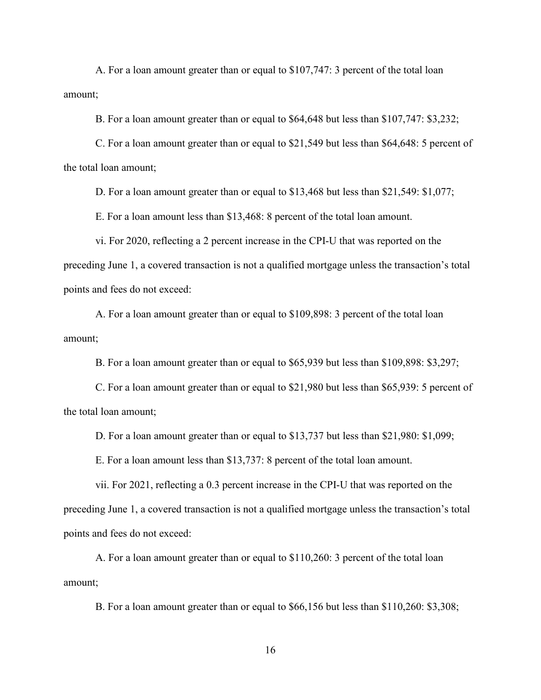A. For a loan amount greater than or equal to \$107,747: 3 percent of the total loan amount;

B. For a loan amount greater than or equal to \$64,648 but less than \$107,747: \$3,232;

C. For a loan amount greater than or equal to \$21,549 but less than \$64,648: 5 percent of the total loan amount;

D. For a loan amount greater than or equal to \$13,468 but less than \$21,549: \$1,077;

E. For a loan amount less than \$13,468: 8 percent of the total loan amount.

vi. For 2020, reflecting a 2 percent increase in the CPI-U that was reported on the preceding June 1, a covered transaction is not a qualified mortgage unless the transaction's total points and fees do not exceed:

A. For a loan amount greater than or equal to \$109,898: 3 percent of the total loan amount;

B. For a loan amount greater than or equal to \$65,939 but less than \$109,898: \$3,297;

C. For a loan amount greater than or equal to \$21,980 but less than \$65,939: 5 percent of the total loan amount;

D. For a loan amount greater than or equal to \$13,737 but less than \$21,980: \$1,099;

E. For a loan amount less than \$13,737: 8 percent of the total loan amount.

vii. For 2021, reflecting a 0.3 percent increase in the CPI-U that was reported on the preceding June 1, a covered transaction is not a qualified mortgage unless the transaction's total points and fees do not exceed:

A. For a loan amount greater than or equal to \$110,260: 3 percent of the total loan amount;

B. For a loan amount greater than or equal to \$66,156 but less than \$110,260: \$3,308;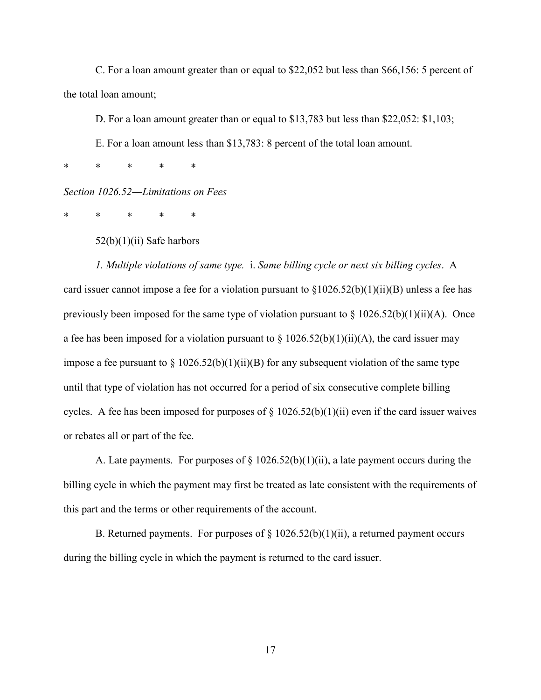C. For a loan amount greater than or equal to \$22,052 but less than \$66,156: 5 percent of the total loan amount;

D. For a loan amount greater than or equal to \$13,783 but less than \$22,052: \$1,103;

E. For a loan amount less than \$13,783: 8 percent of the total loan amount.

\* \* \* \* \*

*Section 1026.52―Limitations on Fees*

\* \* \* \* \*

52(b)(1)(ii) Safe harbors

*1. Multiple violations of same type.* i. *Same billing cycle or next six billing cycles*. A card issuer cannot impose a fee for a violation pursuant to  $\S1026.52(b)(1)(ii)(B)$  unless a fee has previously been imposed for the same type of violation pursuant to  $\S 1026.52(b)(1)(ii)(A)$ . Once a fee has been imposed for a violation pursuant to  $\S 1026.52(b)(1)(ii)(A)$ , the card issuer may impose a fee pursuant to  $\S 1026.52(b)(1)(ii)(B)$  for any subsequent violation of the same type until that type of violation has not occurred for a period of six consecutive complete billing cycles. A fee has been imposed for purposes of  $\S 1026.52(b)(1)(ii)$  even if the card issuer waives or rebates all or part of the fee.

A. Late payments. For purposes of  $\S 1026.52(b)(1)(ii)$ , a late payment occurs during the billing cycle in which the payment may first be treated as late consistent with the requirements of this part and the terms or other requirements of the account.

B. Returned payments. For purposes of  $\S 1026.52(b)(1)(ii)$ , a returned payment occurs during the billing cycle in which the payment is returned to the card issuer.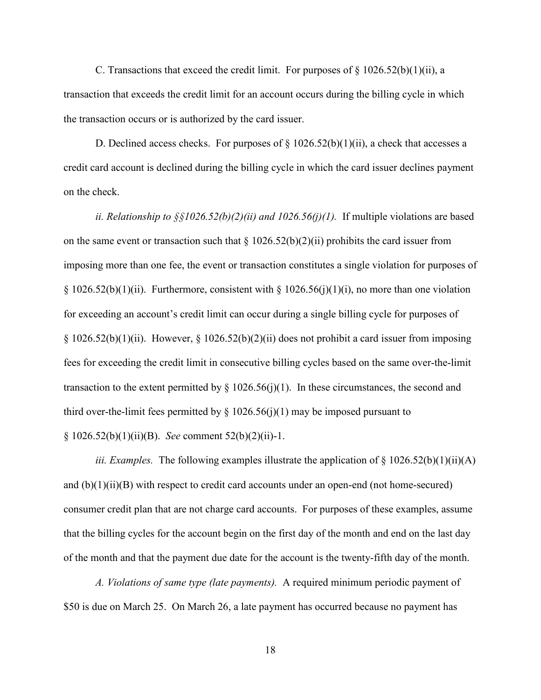C. Transactions that exceed the credit limit. For purposes of  $\S 1026.52(b)(1)(ii)$ , a transaction that exceeds the credit limit for an account occurs during the billing cycle in which the transaction occurs or is authorized by the card issuer.

D. Declined access checks. For purposes of  $\S 1026.52(b)(1)(ii)$ , a check that accesses a credit card account is declined during the billing cycle in which the card issuer declines payment on the check.

*ii. Relationship to §§1026.52(b)(2)(ii) and 1026.56(j)(1).* If multiple violations are based on the same event or transaction such that  $\S 1026.52(b)(2)(ii)$  prohibits the card issuer from imposing more than one fee, the event or transaction constitutes a single violation for purposes of § 1026.52(b)(1)(ii). Furthermore, consistent with § 1026.56(j)(1)(i), no more than one violation for exceeding an account's credit limit can occur during a single billing cycle for purposes of  $\S 1026.52(b)(1)(ii)$ . However,  $\S 1026.52(b)(2)(ii)$  does not prohibit a card issuer from imposing fees for exceeding the credit limit in consecutive billing cycles based on the same over-the-limit transaction to the extent permitted by  $\S 1026.56(j)(1)$ . In these circumstances, the second and third over-the-limit fees permitted by  $\S$  1026.56(j)(1) may be imposed pursuant to § 1026.52(b)(1)(ii)(B). *See* comment 52(b)(2)(ii)-1.

*iii. Examples.* The following examples illustrate the application of § 1026.52(b)(1)(ii)(A) and  $(b)(1)(ii)(B)$  with respect to credit card accounts under an open-end (not home-secured) consumer credit plan that are not charge card accounts. For purposes of these examples, assume that the billing cycles for the account begin on the first day of the month and end on the last day of the month and that the payment due date for the account is the twenty-fifth day of the month.

*A. Violations of same type (late payments).* A required minimum periodic payment of \$50 is due on March 25. On March 26, a late payment has occurred because no payment has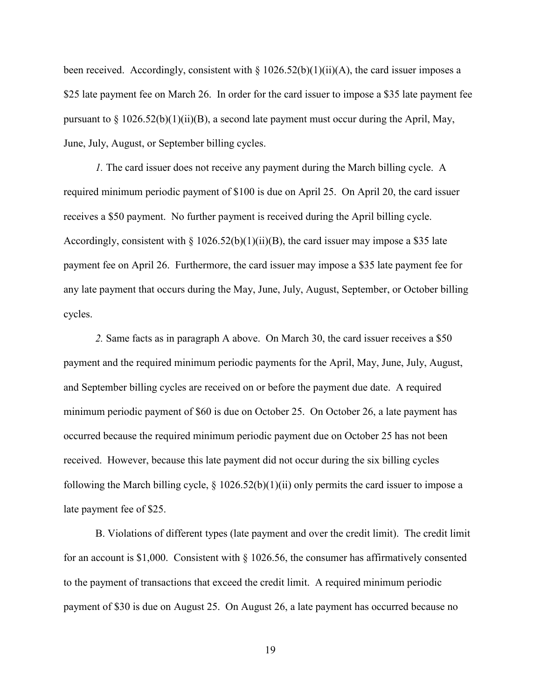been received. Accordingly, consistent with  $\S 1026.52(b)(1)(ii)(A)$ , the card issuer imposes a \$25 late payment fee on March 26. In order for the card issuer to impose a \$35 late payment fee pursuant to  $\S 1026.52(b)(1)(ii)(B)$ , a second late payment must occur during the April, May, June, July, August, or September billing cycles.

*1.* The card issuer does not receive any payment during the March billing cycle. A required minimum periodic payment of \$100 is due on April 25. On April 20, the card issuer receives a \$50 payment. No further payment is received during the April billing cycle. Accordingly, consistent with § 1026.52(b)(1)(ii)(B), the card issuer may impose a \$35 late payment fee on April 26. Furthermore, the card issuer may impose a \$35 late payment fee for any late payment that occurs during the May, June, July, August, September, or October billing cycles.

*2.* Same facts as in paragraph A above. On March 30, the card issuer receives a \$50 payment and the required minimum periodic payments for the April, May, June, July, August, and September billing cycles are received on or before the payment due date. A required minimum periodic payment of \$60 is due on October 25. On October 26, a late payment has occurred because the required minimum periodic payment due on October 25 has not been received. However, because this late payment did not occur during the six billing cycles following the March billing cycle, § 1026.52(b)(1)(ii) only permits the card issuer to impose a late payment fee of \$25.

B. Violations of different types (late payment and over the credit limit). The credit limit for an account is \$1,000. Consistent with  $\S$  1026.56, the consumer has affirmatively consented to the payment of transactions that exceed the credit limit. A required minimum periodic payment of \$30 is due on August 25. On August 26, a late payment has occurred because no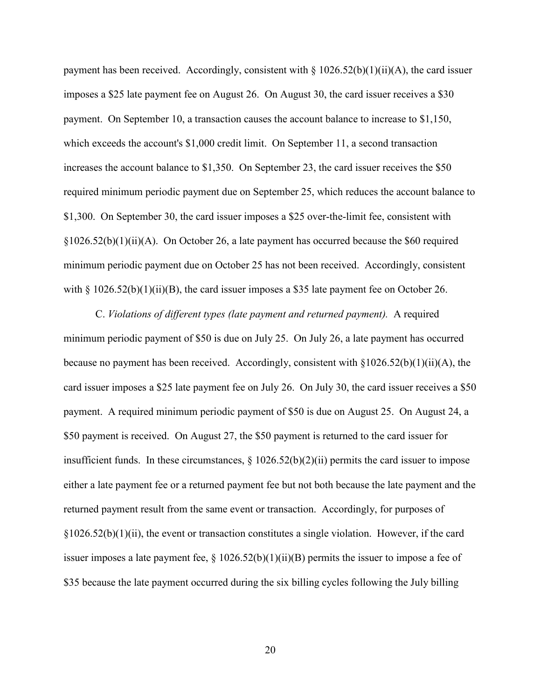payment has been received. Accordingly, consistent with  $\S 1026.52(b)(1)(ii)(A)$ , the card issuer imposes a \$25 late payment fee on August 26. On August 30, the card issuer receives a \$30 payment. On September 10, a transaction causes the account balance to increase to \$1,150, which exceeds the account's \$1,000 credit limit. On September 11, a second transaction increases the account balance to \$1,350. On September 23, the card issuer receives the \$50 required minimum periodic payment due on September 25, which reduces the account balance to \$1,300. On September 30, the card issuer imposes a \$25 over-the-limit fee, consistent with §1026.52(b)(1)(ii)(A). On October 26, a late payment has occurred because the \$60 required minimum periodic payment due on October 25 has not been received. Accordingly, consistent with  $\S 1026.52(b)(1)(ii)(B)$ , the card issuer imposes a \$35 late payment fee on October 26.

C. *Violations of different types (late payment and returned payment).* A required minimum periodic payment of \$50 is due on July 25. On July 26, a late payment has occurred because no payment has been received. Accordingly, consistent with  $\S 1026.52(b)(1)(ii)(A)$ , the card issuer imposes a \$25 late payment fee on July 26. On July 30, the card issuer receives a \$50 payment. A required minimum periodic payment of \$50 is due on August 25. On August 24, a \$50 payment is received. On August 27, the \$50 payment is returned to the card issuer for insufficient funds. In these circumstances, § 1026.52(b)(2)(ii) permits the card issuer to impose either a late payment fee or a returned payment fee but not both because the late payment and the returned payment result from the same event or transaction. Accordingly, for purposes of  $\S 1026.52(b)(1)(ii)$ , the event or transaction constitutes a single violation. However, if the card issuer imposes a late payment fee,  $\S 1026.52(b)(1)(ii)(B)$  permits the issuer to impose a fee of \$35 because the late payment occurred during the six billing cycles following the July billing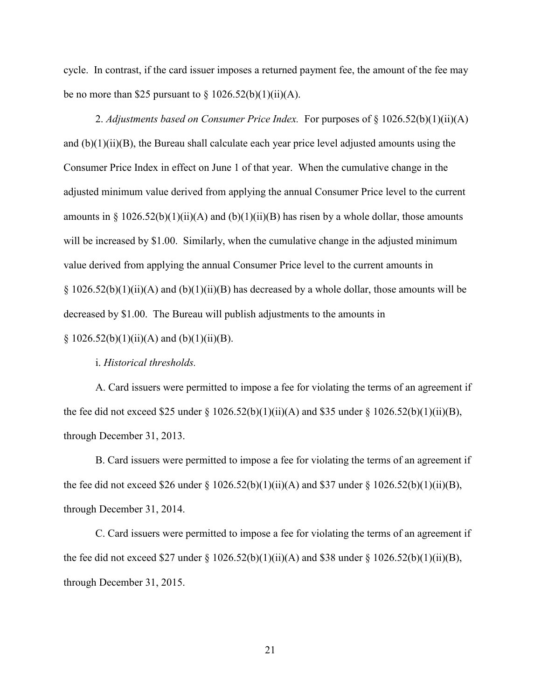cycle. In contrast, if the card issuer imposes a returned payment fee, the amount of the fee may be no more than \$25 pursuant to  $\S 1026.52(b)(1)(ii)(A)$ .

2. *Adjustments based on Consumer Price Index.* For purposes of § 1026.52(b)(1)(ii)(A) and  $(b)(1)(ii)(B)$ , the Bureau shall calculate each year price level adjusted amounts using the Consumer Price Index in effect on June 1 of that year. When the cumulative change in the adjusted minimum value derived from applying the annual Consumer Price level to the current amounts in § 1026.52(b)(1)(ii)(A) and (b)(1)(ii)(B) has risen by a whole dollar, those amounts will be increased by \$1.00. Similarly, when the cumulative change in the adjusted minimum value derived from applying the annual Consumer Price level to the current amounts in  $\S 1026.52(b)(1)(ii)(A)$  and  $(b)(1)(ii)(B)$  has decreased by a whole dollar, those amounts will be decreased by \$1.00. The Bureau will publish adjustments to the amounts in

§  $1026.52(b)(1)(ii)(A)$  and  $(b)(1)(ii)(B)$ .

i. *Historical thresholds.*

A. Card issuers were permitted to impose a fee for violating the terms of an agreement if the fee did not exceed \$25 under § 1026.52(b)(1)(ii)(A) and \$35 under § 1026.52(b)(1)(ii)(B), through December 31, 2013.

B. Card issuers were permitted to impose a fee for violating the terms of an agreement if the fee did not exceed \$26 under § 1026.52(b)(1)(ii)(A) and \$37 under § 1026.52(b)(1)(ii)(B), through December 31, 2014.

C. Card issuers were permitted to impose a fee for violating the terms of an agreement if the fee did not exceed \$27 under § 1026.52(b)(1)(ii)(A) and \$38 under § 1026.52(b)(1)(ii)(B), through December 31, 2015.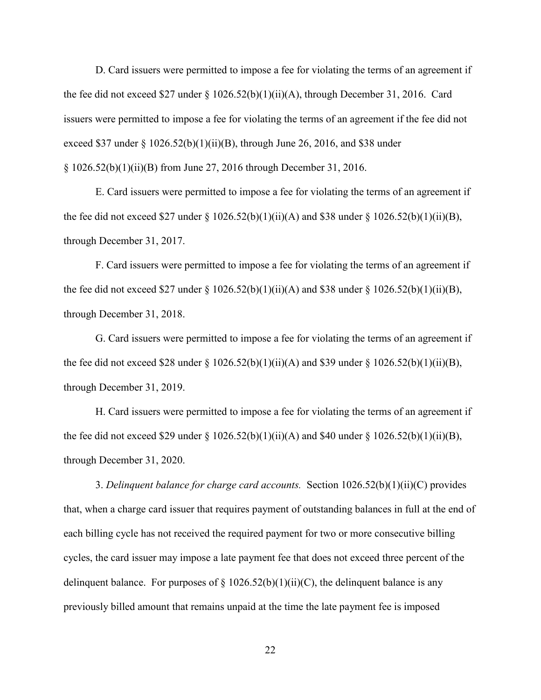D. Card issuers were permitted to impose a fee for violating the terms of an agreement if the fee did not exceed \$27 under  $\S 1026.52(b)(1)(ii)(A)$ , through December 31, 2016. Card issuers were permitted to impose a fee for violating the terms of an agreement if the fee did not exceed \$37 under § 1026.52(b)(1)(ii)(B), through June 26, 2016, and \$38 under § 1026.52(b)(1)(ii)(B) from June 27, 2016 through December 31, 2016.

E. Card issuers were permitted to impose a fee for violating the terms of an agreement if the fee did not exceed \$27 under  $\S 1026.52(b)(1)(ii)(A)$  and \$38 under  $\S 1026.52(b)(1)(ii)(B)$ , through December 31, 2017.

F. Card issuers were permitted to impose a fee for violating the terms of an agreement if the fee did not exceed \$27 under § 1026.52(b)(1)(ii)(A) and \$38 under § 1026.52(b)(1)(ii)(B), through December 31, 2018.

G. Card issuers were permitted to impose a fee for violating the terms of an agreement if the fee did not exceed \$28 under § 1026.52(b)(1)(ii)(A) and \$39 under § 1026.52(b)(1)(ii)(B), through December 31, 2019.

H. Card issuers were permitted to impose a fee for violating the terms of an agreement if the fee did not exceed \$29 under  $\S 1026.52(b)(1)(ii)(A)$  and \$40 under  $\S 1026.52(b)(1)(ii)(B)$ , through December 31, 2020.

3. *Delinquent balance for charge card accounts.* Section 1026.52(b)(1)(ii)(C) provides that, when a charge card issuer that requires payment of outstanding balances in full at the end of each billing cycle has not received the required payment for two or more consecutive billing cycles, the card issuer may impose a late payment fee that does not exceed three percent of the delinquent balance. For purposes of  $\S 1026.52(b)(1)(ii)(C)$ , the delinquent balance is any previously billed amount that remains unpaid at the time the late payment fee is imposed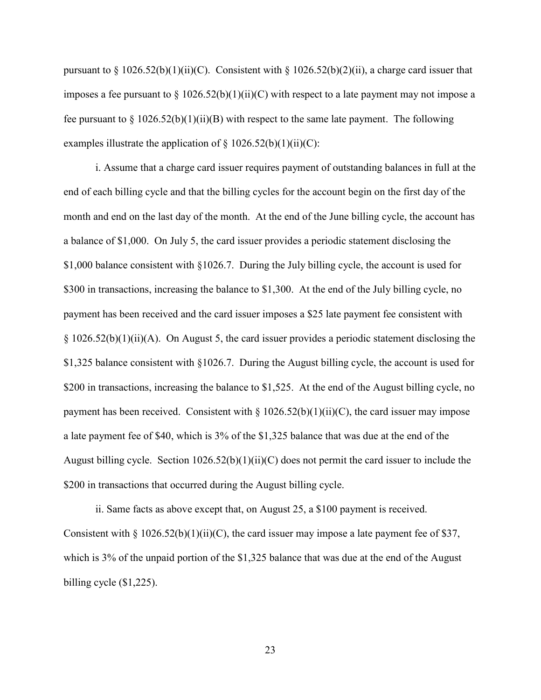pursuant to § 1026.52(b)(1)(ii)(C). Consistent with § 1026.52(b)(2)(ii), a charge card issuer that imposes a fee pursuant to  $\S 1026.52(b)(1)(ii)(C)$  with respect to a late payment may not impose a fee pursuant to  $\S 1026.52(b)(1)(ii)(B)$  with respect to the same late payment. The following examples illustrate the application of  $\S 1026.52(b)(1)(ii)(C)$ :

i. Assume that a charge card issuer requires payment of outstanding balances in full at the end of each billing cycle and that the billing cycles for the account begin on the first day of the month and end on the last day of the month. At the end of the June billing cycle, the account has a balance of \$1,000. On July 5, the card issuer provides a periodic statement disclosing the \$1,000 balance consistent with §1026.7. During the July billing cycle, the account is used for \$300 in transactions, increasing the balance to \$1,300. At the end of the July billing cycle, no payment has been received and the card issuer imposes a \$25 late payment fee consistent with  $\S 1026.52(b)(1)(ii)(A)$ . On August 5, the card issuer provides a periodic statement disclosing the \$1,325 balance consistent with §1026.7. During the August billing cycle, the account is used for \$200 in transactions, increasing the balance to \$1,525. At the end of the August billing cycle, no payment has been received. Consistent with  $\S 1026.52(b)(1)(ii)(C)$ , the card issuer may impose a late payment fee of \$40, which is 3% of the \$1,325 balance that was due at the end of the August billing cycle. Section 1026.52(b)(1)(ii)(C) does not permit the card issuer to include the \$200 in transactions that occurred during the August billing cycle.

ii. Same facts as above except that, on August 25, a \$100 payment is received. Consistent with § 1026.52(b)(1)(ii)(C), the card issuer may impose a late payment fee of \$37, which is 3% of the unpaid portion of the \$1,325 balance that was due at the end of the August billing cycle (\$1,225).